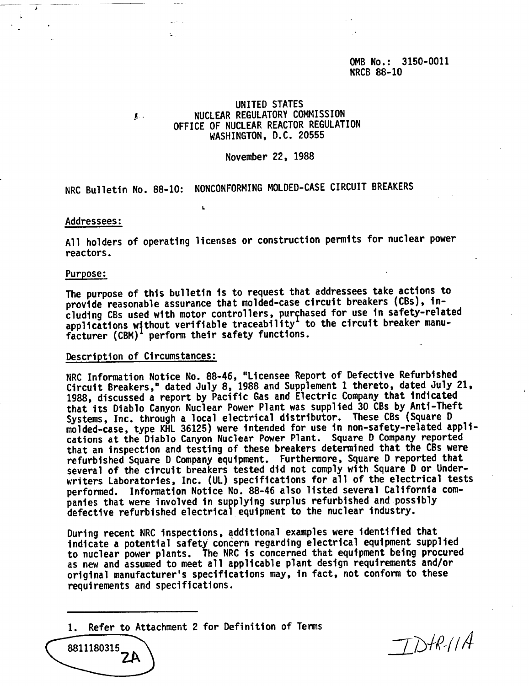OMB No.: 3150-0011 NRCB 88-10

### UNITED STATES NUCLEAR REGULATORY COMMISSION OFFICE OF NUCLEAR REACTOR REGULATION WASHINGTON, D.C. 20555

### November 22, 1988

NRC Bulletin No. 88-10: NONCONFORMING MOLDED-CASE CIRCUIT BREAKERS

t.

#### Addressees:

**I**

All holders of operating licenses or construction permits for nuclear power reactors.

#### Purpose:

The purpose of this bulletin is to request that addressees take actions to provide reasonable assurance that molded-case circuit breakers (CBs), including CBs used with motor controllers, purchased for use in safety-related applications without verifiable traceability<sup>1</sup> to the circuit breaker manufacturer  $(CBM)^T$  perform their safety functions.

### Description of Circumstances:

裏に

NRC Information Notice No. 88-46, "Licensee Report of Defective Refurbished Circuit Breakers," dated July 8, 1988 and Supplement 1 thereto, dated July 21, 1988, discussed a report by Pacific Gas and Electric Company that indicated that its Diablo Canyon Nuclear Power Plant was supplied 30 CBs by Anti-Theft Systems, Inc. through a local electrical distributor. These CBs (Square D molded-case, type KHL 36125) were intended for use in non-safety-related applications at the Diablo Canyon Nuclear Power Plant. Square D Company reported that an inspection and testing of these breakers determined that the CBs were refurbished Square D Company equipment. Furthermore, Square D reported that several of the circuit breakers tested did not comply with Square D or Underwriters Laboratories, Inc. (UL) specifications for all of the electrical tests performed. Information Notice No. 88-46 also listed several California companies that were involved in supplying surplus refurbished and possibly defective refurbished electrical equipment to the nuclear industry.

During recent NRC inspections, additional examples were identified that indicate a potential safety concern regarding electrical equipment supplied to nuclear power plants. The NRC is concerned that equipment being procured as new and assumed to meet all applicable plant design requirements and/or original manufacturer's specifications may, in fact, not conform to these requirements and specifications.

1. Refer to Attachment 2 for Definition of Terms

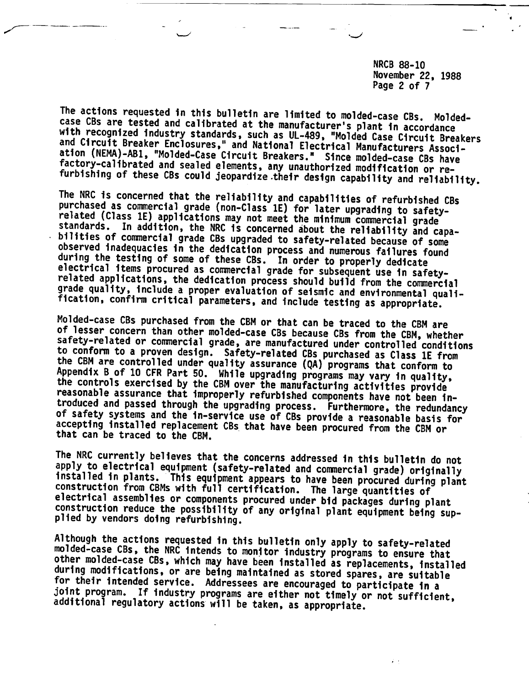NRCB 88-10 November 22, 1988 Page 2 of 7

The actions requested in this bulletin are limited to molded-case CBs. Molded-<br>case CBs are tested and calibrated at the manufacturer's plant in accordance with recognized industry standards, such as UL-489, "Molded Case Circuit Breakers<br>and Circuit Breaker Enclosures," and National Electrical Manufacturers Associ-<br>ation (NEMA)-AB1, "Molded-Case Circuit Breakers." Since molde

The NRC is concerned that the reliability and capabilities of refurbished CBs<br>purchased as commercial grade (non-Class 1E) for later upgrading to safety-<br>related (Class 1E) applications may not meet the minimum commercial

Molded-case CBs purchased from the CBM or that can be traced to the CBM are<br>of lesser concern than other molded-case CBs because CBs from the CBM, whether<br>safety-related or commercial grade, are manufactured under controll

The NRC currently believes that the concerns addressed in this bulletin do not<br>apply to electrical equipment (safety-related and commercial grade) originally<br>installed in plants. This equipment appears to have been procure

Although the actions requested in this bulletin only apply to safety-related<br>molded-case CBs, the NRC intends to monitor industry programs to ensure that<br>other molded-case CBs, which may have been installed as replacements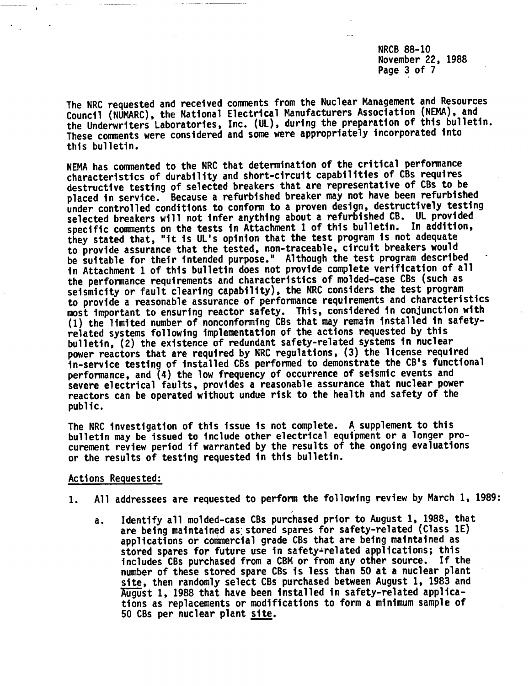NRCB 88-10 November 22, 1988 Page 3 of 7

The NRC requested and received comments from the Nuclear Management and Resources Council (NUMARC), the National Electrical Manufacturers Association (NEMA), and the Underwriters Laboratories, Inc. (UL), during the preparation of this bulletin. These comments were considered and some were appropriately incorporated into this bulletin.

NEMA has commented to the NRC that determination of the critical performance characteristics of durability and short-circuit capabilities of CBs requires destructive testing of selected breakers that are representative of CBs to be placed in service. Because a refurbished breaker may not have been refurbished under controlled conditions to conform to a proven design, destructively testing selected breakers will not infer anything about a refurbished CB. UL provided specific comments on the tests in Attachment 1 of this bulletin. In addition, they stated that, "it is UL's opinion that the test program is not adequate to provide assurance that the tested, non-traceable, circuit breakers would be suitable for their intended purpose." Although the test program described in Attachment 1 of this bulletin does not provide complete verification of all the performance requirements and characteristics of molded-case CBs (such as seismicity or fault clearing capability), the NRC considers the test program to provide a reasonable assurance of performance requirements and characteristics most important to ensuring reactor safety. This, considered in conjunction with (1) the limited number of nonconforming CBs that may remain installed in safetyrelated systems following implementation of the actions requested by this bulletin, (2) the existence of redundant safety-related systems in nuclear power reactors that are required by NRC regulations, (3) the license required in-service testing of installed CBs performed to demonstrate the CB's functional performance, and (4) the low frequency of occurrence of seismic events and severe electrical faults, provides a reasonable assurance that nuclear power reactors can be operated without undue risk to the health and safety of the public.

The NRC investigation of this issue is not complete. A supplement to this bulletin may be issued to include other electrical equipment or a longer procurement review period if warranted by the results of the ongoing evaluations or the results of testing requested in this bulletin.

### Actions Requested:

- 1. All addressees are requested to perform the following review by March 1, 1989:
	- a. Identify all molded-case CBs purchased prior to August 1, 1988, that are being maintained as stored spares for safety-related (Class 1E) applications or commercial grade CBs that are being maintained as stored spares for future use in safety-related applications; this includes CBs purchased from a CBM or from any other source. If the number of these stored spare CBs is less than 50 at a nuclear plant site, then randomly select CBs purchased between August 1, 1983 and August 1, 1988 that have been installed in safety-related applications as replacements or modifications to form a minimum sample of 50 CBs per nuclear plant site.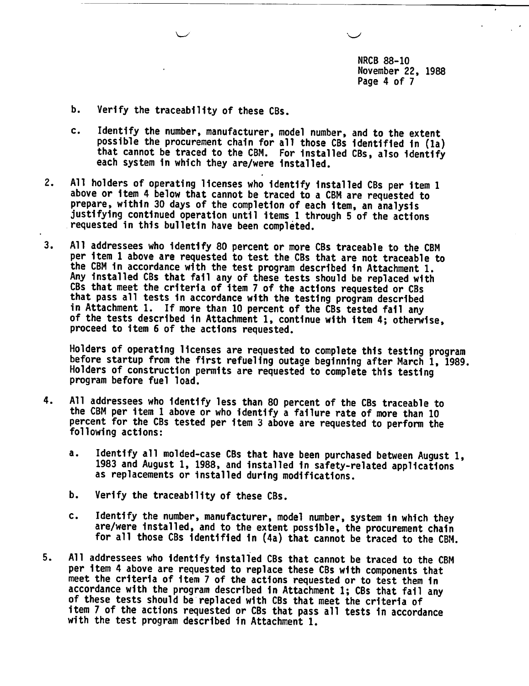NRCB 88-10 November 22, 1988 Page 4 of 7

- b. Verify the traceability of these CBs.
- c. Identify the number, manufacturer, model number, and to the extent possible the procurement chain for all those CBs identified in (la) that cannot be traced to the CBM. For installed CBs, also identify each system in which they are/were installed.
- 2. All holders of operating licenses who identify installed CBs per item 1 above or item 4 below that cannot be traced to a CBM are requested to prepare, within 30 days of the completion of each item, an analysis justifying continued operation until items 1 through 5 of the actions requested in this bulletin have been completed.
- 3. All addressees who identify 80 percent or more CBs traceable to the CBM per item 1 above are requested to test the CBs that are not traceable to the CBM in accordance with the test program described in Attachment 1.<br>Any installed CBs that fail any of these tests should be replaced with CBs that meet the criteria of item 7 of the actions requested or CBs that pass all tests in accordance with the testing program described<br>in Attachment 1. If more than 10 percent of the CBs tested fail any of the tests described in Attachment 1, continue with item 4; otherwise, proceed to item 6 of the actions requested.

Holders of operating licenses are requested to complete this testing program before startup from the first refueling outage beginning after March 1, 1989. Holders of construction permits are requested to complete this testing program before fuel load.

- 4. All addressees who identify less than 80 percent of the CBs traceable to the CBM per item 1 above or who identify a failure rate of more than 10 percent for the CBs tested per item 3 above are requested to perform the following actions:
	- a. Identify all molded-case CBs that have been purchased between August 1, 1983 and August 1, 1988, and installed in safety-related applications as replacements or installed during modifications.
	- b. Verify the traceability of these CBs.
	- c. Identify the number, manufacturer, model number, system in which they are/were installed, and to the extent possible, the procurement chain for all those CBs identified in (4a) that cannot be traced to the CBM.
- 5. All addressees who identify installed CBs that cannot be traced to the CBM per item 4 above are requested to replace these CBs with components that meet the criteria of item 7 of the actions requested or to test them in accordance with the program described in Attachment 1; CBs that fail any of these tests should be replaced with CBs that meet the criteria of item 7 of the actions requested or CBs that pass all tests in accordance with the test program described in Attachment 1.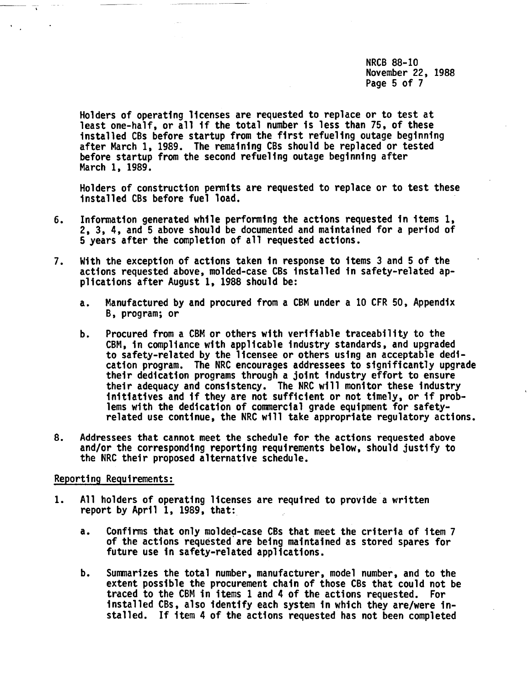NRCB 88-10 November 22, 1988 Page 5 of 7

Holders of operating licenses are requested to replace or to test at least one-half, or all if the total number is less than 75, of these installed CBs before startup from the first refueling outage beginning after March 1, 1989. The remaining CBs should be replaced or tested before startup from the second refueling outage beginning after March 1, 1989.

Holders of construction permits are requested to replace or to test these installed CBs before fuel load.

- 6. Information generated while performing the actions requested in items 1, 2, 3, 4, and 5 above should be documented and maintained for a period of 5 years after the completion of all requested actions.
- 7. With the exception of actions taken in response to items 3 and 5 of the actions requested above, molded-case CBs installed in safety-related applications after August 1, 1988 should be:
	- a. Manufactured by and procured from a CBM under a 10 CFR 50, Appendix B, program; or
	- b. Procured from a CBM or others with verifiable traceability to the CBM, in compliance with applicable industry standards, and upgraded to safety-related by the licensee or others using an acceptable dedication program. The NRC encourages addressees to significantly upgrade their dedication programs through a joint industry effort to ensure their adequacy and consistency. The NRC will monitor these industry initiatives and if they are not sufficient or not timely, or if problems with the dedication of commercial grade equipment for safetyrelated use continue, the NRC will take appropriate regulatory actions.
- 8. Addressees that cannot meet the schedule for the actions requested above and/or the corresponding reporting requirements below, should justify to the NRC their proposed alternative schedule.

## Reporting Requirements:

- 1. All holders of operating licenses are required to provide a written report by April  $i$ , 1989, that:
	- a. Confirms that only molded-case CBs that meet the criteria of item 7 of the actions requested are being maintained as stored spares for future use in safety-related applications.
	- b. Summarizes the total number, manufacturer, model number, and to the extent possible the procurement chain of those CBs that could not be traced to the CBM in items 1 and 4 of the actions requested. For installed CBs, also identify each system in which they are/were installed. If item 4 of the actions requested has not been completed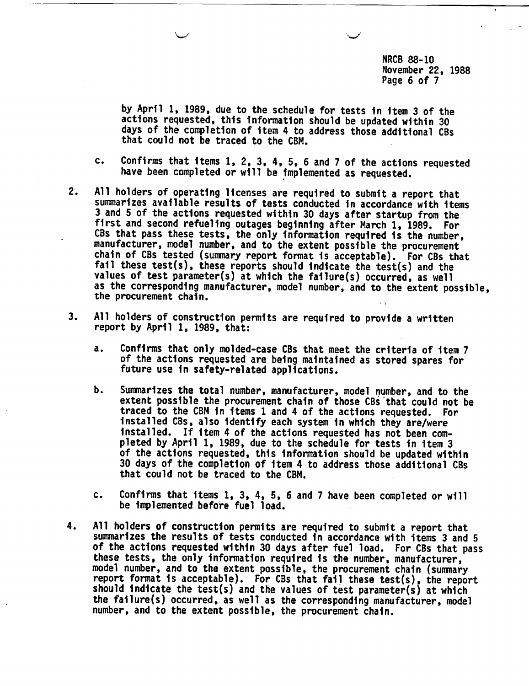NRCB 88-10 November 22, 1988 Page 6 of 7

by April 1, 1989, due to the schedule for tests in item 3 of the actions requested, this information should be updated within 30 days of the completion of item 4 to address those additional CBs that could not be traced to the CBM.

- c. Confirms that items 1, 2, 3, 4, 5, 6 and 7 of the actions requested have been completed or will be implemented as requested.
- 2. All holders of operating licenses are required to submit a report that summarizes available results of tests conducted in accordance with items 3 and 5 of the actions requested within 30 days after startup from the first and second refueling outages beginning after March 1, 1989. For CBs that pass these tests, the only information required is the number, manufacturer, model number, and to the extent possible the procurement chain of CBs tested (summary report format is acceptable). For CBs that fail these test(s), these reports should indicate the test(s) and the values of test parameter(s) at which the failure(s) occurred, as well as the corresponding manufacturer, model number, and to the extent possible, the procurement chain.
- 3. All holders of construction permits are required to provide a written report by April 1, 1989, that:
	- a. Confirms that only molded-case CBs that meet the criteria of item 7 of the actions requested are being maintained as stored spares for future use in safety-related applications.
	- b. Summarizes the total number, manufacturer, model number, and to the extent possible the procurement chain of those CBs that could not be traced to the CBM in items 1 and 4 of the actions requested. For installed CBs, also identify each system in which they are/were installed. If item 4 of the actions requested has not been completed by April 1, 1989, due to the schedule for tests in item 3 of the actions requested, this information should be updated within 30 days of the completion of item 4 to address those additional CBs that could not be traced to the CBM.
	- c. Confirms that items 1, 3, 4, 5, 6 and 7 have been completed or will be implemented before fuel load.
- 4. All holders of construction permits are required to submit a report that summarizes the results of tests conducted in accordance with items 3 and 5 of the actions requested within 30 days after fuel load. For CBs that pass these tests, the only information required is the number, manufacturer, model number, and to the extent possible, the procurement chain (summary report format is acceptable). For CBs that fail these test(s), the report should indicate the test(s) and the values of test parameter(s) at which the failure(s) occurred, as well as the corresponding manufacturer, model number, and to the extent possible, the procurement chain.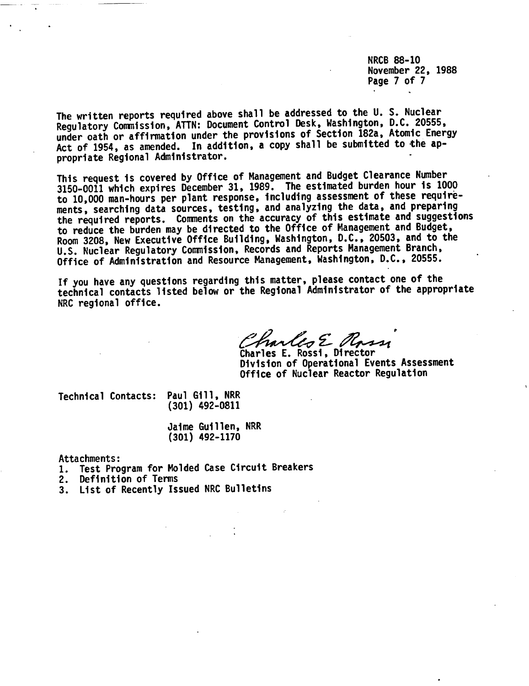NRCB 88-10 November 22, 1988 Page 7 of 7

The written reports required above shall be addressed to the U. S. Nuclear Regulatory Commission, ATTN: Document Control Desk, Washington, D.C. 20555, under oath or affirmation under the provisions of Section 182a, Atomic Energy Act of 1954, as amended. In addition, a copy shall be submitted to the appropriate Regional Administrator.

This request is covered by Office of Management and Budget Clearance Number 3150-0011 which expires December 31, 1989. The estimated burden hour is 1000 to 10,000 man-hours per plant response, including assessment of these requirements, searching data sources, testing, and analyzing the data, and preparing the required reports. Comments on the accuracy of this estimate and suggestions to reduce the burden may be directed to the Office of Management and Budget, Room 3208, New Executive Office Building, Washington, D.C., 20503, and to the U.S. Nuclear Regulatory Commission, Records and Reports Management Branch, Office of Administration and Resource Management, Washington, D.C., 20555.

If you have any questions regarding this matter, please contact one of the technical contacts listed below or the Regional Administrator of the appropriate NRC regional office.

Charles E Rossi

Division of Operational Events Assessment Office of Nuclear Reactor Regulation

Technical Contacts: Paul Gill, NRR

(301) 492-0811

Jaime Guillen, NRR (301) 492-1170

Attachments:

1. Test Program for Molded Case Circuit Breakers

- 2. Definition of Terms
- 3. List of Recently Issued NRC Bulletins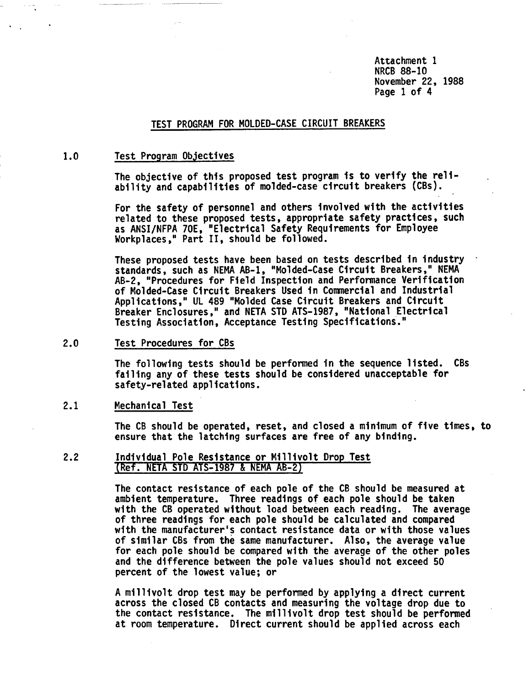Attachment 1 NRCB 88-10 November 22, 1988 Page 1 of 4

### TEST PROGRAM FOR MOLDED-CASE CIRCUIT BREAKERS

#### 1.0 Test Program Objectives

The objective of this proposed test program is to verify the reliability and capabilities of molded-case circuit breakers (CBs).

For the safety of personnel and others involved with the activities related to these proposed tests, appropriate safety practices, such as ANSI/NFPA 70E, "Electrical Safety Requirements for Employee Workplaces," Part II, should be followed.

These proposed tests have been based on tests described in industry standards, such as NEMA AB-1, "Molded-Case Circuit Breakers," NEMA AB-2, "Procedures for Field Inspection and Performance Verification of Molded-Case Circuit Breakers Used in Commercial and Industrial Applications," UL 489 "Molded Case Circuit Breakers and Circuit Breaker Enclosures," and NETA STD ATS-1987, "National Electrical Testing Association, Acceptance Testing Specifications."

2.0 Test Procedures for CBs

The following tests should be performed in the sequence listed. CBs failing any of these tests should be considered unacceptable for safety-related applications.

### 2.1 Mechanical Test

The CB should be operated, reset, and closed a minimum of five times, to ensure that the latching surfaces are free of any binding.

2.2 Individual Pole Resistance or Millivolt Drop Test (Ref. NETA STD ATS-1987 & NEMA AB-2)

> The contact resistance of each pole of the CB should be measured at ambient temperature. Three readings of each pole should be taken with the CB operated without load between each reading. The average of three readings for each pole should be calculated and compared with the manufacturer's contact resistance data or with those values of similar CBs from the same manufacturer. Also, the average value for each pole should be compared with the average of the other poles and the difference between the pole values should not exceed 50 percent of the lowest value; or

> A millivolt drop test may be performed by applying a direct current across the closed CB contacts and measuring the voltage drop due to the contact resistance. The millivolt drop test should be performed at room temperature. Direct current should be applied across each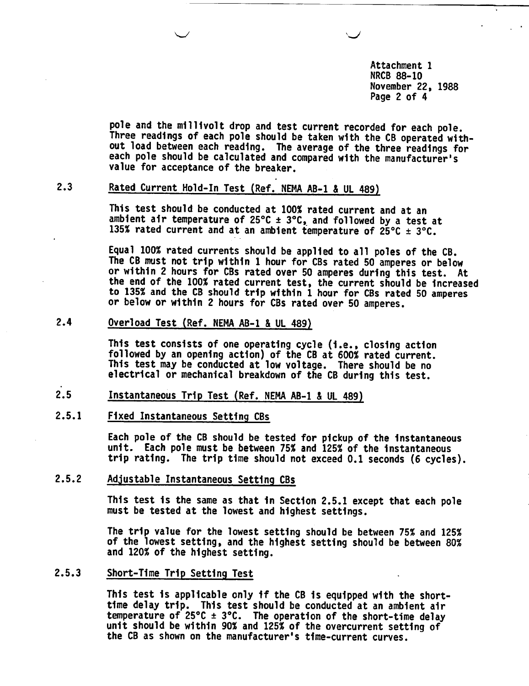Attachment 1 NRCB 88-10 November 22, 1988 Page 2 of 4

 $\smile$ 

pole and the millivolt drop and test current recorded for each pole. Three readings of each pole should be taken with the CB operated without load between each reading. The average of the three readings for each pole should be calculated and compared with the manufacturer's value for acceptance of the breaker.

# 2.3 Rated Current Hold-In Test (Ref. NEMA AB-1 & UL 489)

This test should be conducted at 100% rated current and at an ambient air temperature of  $25^{\circ}$ C  $\pm$  3°C, and followed by a test at 135% rated current and at an ambient temperature of  $25^{\circ}$ C  $\pm$  3°C.

Equal 100% rated currents should be applied to all poles of the CB. The CB must not trip within 1 hour for CBs rated 50 amperes or below or within 2 hours for CBs rated over 50 amperes during this test. At the end of the 100% rated current test, the current should be increased to 135% and the CB should trip within 1 hour for CBs rated 50 amperes or below or within 2 hours for CBs rated over 50 amperes.

# 2.4 Overload Test (Ref. NEMA AB-1 & UL 489)

This test consists of one operating cycle (i.e., closing action followed by an opening action) of the CB at 600% rated current. This test may be conducted at low voltage. There should be no electrical or mechanical breakdown of the CB during this test.

# 2.5 Instantaneous Trip Test (Ref. NEMA AB-1 & UL 489)

## 2.5.1 Fixed Instantaneous Setting CBs

Each pole of the CB should be tested for pickup of the instantaneous unit. Each pole must be between 75% and 125% of the instantaneous trip rating. The trip time should not exceed 0.1 seconds (6 cycles).

## 2.5.2 Adjustable Instantaneous Setting CBs

This test is the same as that in Section 2.5.1 except that each pole must be tested at the lowest and highest settings.

The trip value for the lowest setting should be between 75% and 125% of the lowest setting, and the highest setting should be between 80% and 120% of the highest setting.

## 2.5.3 Short-Time Trip Setting Test

This test is applicable only if the CB is equipped with the shorttime delay trip. This test should be conducted at an ambient air temperature of  $25^{\circ}$ C  $\pm$  3°C. The operation of the short-time delay unit should be within 90% and 125% of the overcurrent setting of the CB as shown on the manufacturer's time-current curves.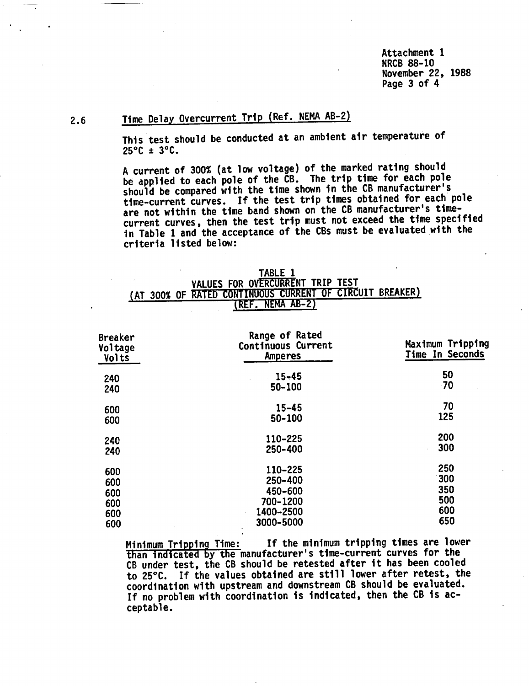Attachment 1 NRCB 88-10 November 22, 1988 Page 3 of 4

# 2.6 Time Delay Overcurrent Trip (Ref. NEMA AB-2)

This test should be conducted at an ambient air temperature of  $25^{\circ}$ C ± 3 $^{\circ}$ C.

A current of 300% (at low voltage) of the marked rating should be applied to each pole of the CB. The trip time for each pole should be compared with the time shown in the CB manufacturer's time-current curves. If the test trip times obtained for each pole are not within the time band shown on the CB manufacturer's timecurrent curves, then the test trip must not exceed the time specified in Table 1 and the acceptance of the CBs must be evaluated with the criteria listed below:

|  |                                  | <b>TABLE 1</b> |                  |  |                                                          |
|--|----------------------------------|----------------|------------------|--|----------------------------------------------------------|
|  | VALUES FOR OVERCURRENT TRIP TEST |                |                  |  |                                                          |
|  |                                  |                |                  |  | (AT 300% OF RATED CONTINUOUS CURRENT OF CIRCUIT BREAKER) |
|  |                                  |                | (REF. NEMA AB-2) |  |                                                          |

| <b>Breaker</b><br>Voltage<br>Volts | Range of Rated<br>Continuous Current<br>Amperes | Maximum Tripping<br>Time In Seconds |  |  |
|------------------------------------|-------------------------------------------------|-------------------------------------|--|--|
| 240                                | $15 - 45$                                       | 50                                  |  |  |
| 240                                | 50-100                                          | 70                                  |  |  |
| 600                                | $15 - 45$                                       | 70                                  |  |  |
| 600                                | 50-100                                          | 125                                 |  |  |
| 240                                | 110-225                                         | 200                                 |  |  |
| 240                                | 250-400                                         | 300                                 |  |  |
| 600                                | 110-225                                         | 250                                 |  |  |
| 600                                | 250-400                                         | 300                                 |  |  |
| 600                                | 450-600                                         | 350                                 |  |  |
| 600                                | 700-1200                                        | 500                                 |  |  |
| 600                                | 1400-2500                                       | 600                                 |  |  |
| 600                                | 3000-5000<br>$\bullet$                          | 650                                 |  |  |

Minimum Tripping Time: If the minimum tripping times are lower than indicated by the manufacturer's time-current curves for the CB under test, the CB should be retested after it has been cooled to 25°C. If the values obtained are still lower after retest, the coordination with upstream and downstream CB should be evaluated. If no problem with coordination is indicated, then the CB is acceptable.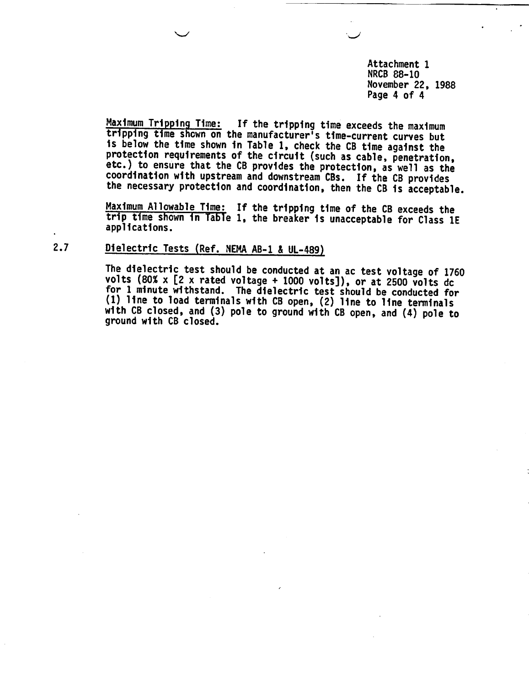Attachment 1 NRCB 88-10 November 22, 1988 Page 4 of 4

Maximum Tripping Time: If the tripping time exceeds the maximum tripping time shown on the manufacturer's time-current curves but<br>is below the time shown in Table 1, check the CB time against the protection requirements of the circuit (such as cable, penetration, etc.) to ensure that the CB provides the protection, as well as the coordination with upstream and downstream CBs. If the CB provides the necessary protection and coordination, then the CB is acceptable.

Maximum Allowable Time: If the tripping time of the CB exceeds the trip time shown in Table 1, the breaker is unacceptable for Class 1E applications.

# 2.7 Dielectric Tests (Ref. NEMA AB-1 & UL-489)

**"-I**

The dielectric test should be conducted at an ac test voltage of 1760 volts (80% x [2 x rated voltage + 1000 volts]), or at 2500 volts dc for 1 minute withstand. The dielectric test should be conducted for (1) line to load terminals with CB open, (2) line to line terminals with CB closed, and (3) pole to ground with CB open, and (4) pole to ground with CB closed.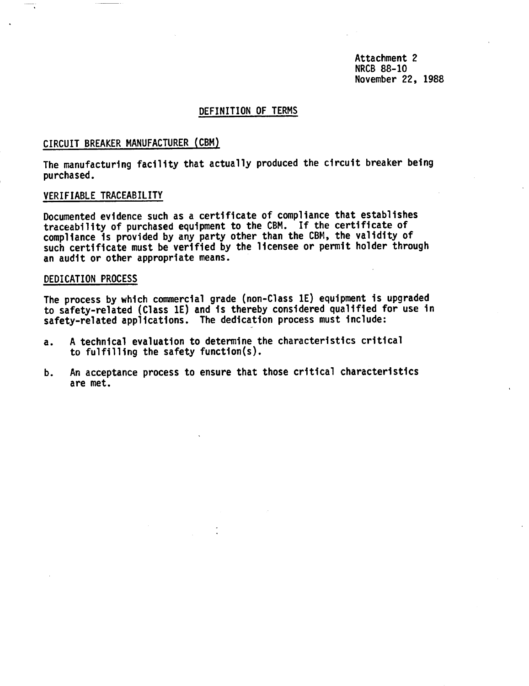Attachment 2 NRCB 88-10 November 22, 1988

## DEFINITION OF TERMS

### CIRCUIT BREAKER MANUFACTURER (CBM)

The manufacturing facility that actually produced the circuit breaker being purchased.

# VERIFIABLE TRACEABILITY

Documented evidence such as a certificate of compliance that establishes traceability of purchased equipment to the CBM. If the certificate of compliance is provided by any party other than the CBM, the validity of such certificate must be verified by the licensee or permit holder through an audit or other appropriate means.

#### DEDICATION PROCESS

The process by which commercial grade (non-Class 1E) equipment is upgraded to safety-related (Class 1E) and is thereby considered qualified for use in safety-related applications. The dedication process must include:

- a. A technical evaluation to determine the characteristics critical to fulfilling the safety function(s).
- b. An acceptance process to ensure that those critical characteristics are met.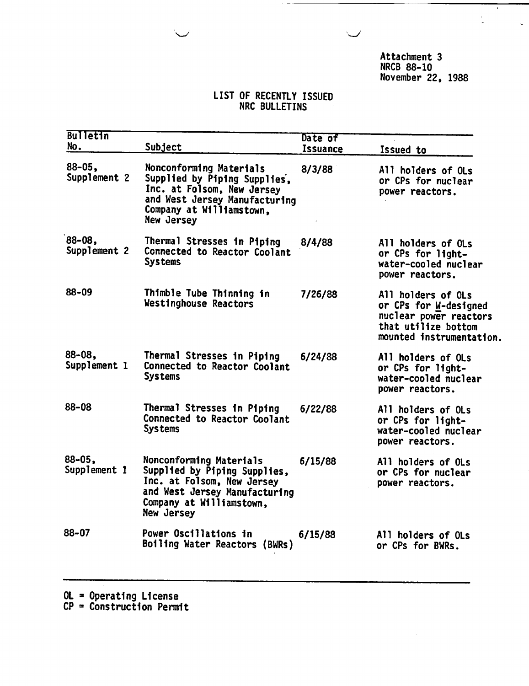Attachment 3 NRCB 88-10 November 22, 1988  $\overline{\cdot}$ 

l.

### LIST OF RECENTLY ISSUED NRC BULLETINS

| <b>Bulletin</b><br>No.      | Subject                                                                                                                                                          | Date of<br><b>Issuance</b> | Issued to                                                                                                                |
|-----------------------------|------------------------------------------------------------------------------------------------------------------------------------------------------------------|----------------------------|--------------------------------------------------------------------------------------------------------------------------|
| $88 - 05$ ,<br>Supplement 2 | Nonconforming Materials<br>Supplied by Piping Supplies,<br>Inc. at Folsom, New Jersey<br>and West Jersey Manufacturing<br>Company at Williamstown,<br>New Jersey | 8/3/88                     | All holders of OLs<br>or CPs for nuclear<br>power reactors.                                                              |
| $88 - 08$<br>Supplement 2   | Thermal Stresses in Piping<br>Connected to Reactor Coolant<br><b>Systems</b>                                                                                     | 8/4/88                     | All holders of OLs<br>or CPs for light-<br>water-cooled nuclear<br>power reactors.                                       |
| 88-09                       | Thimble Tube Thinning in<br>Westinghouse Reactors                                                                                                                | 7/26/88                    | All holders of OLs<br>or CPs for W-designed<br>nuclear power reactors<br>that utilize bottom<br>mounted instrumentation. |
| 88-08,<br>Supplement 1      | Thermal Stresses in Piping<br>Connected to Reactor Coolant<br><b>Systems</b>                                                                                     | 6/24/88                    | All holders of OLs<br>or CPs for light-<br>water-cooled nuclear<br>power reactors.                                       |
| 88-08                       | Thermal Stresses in Piping<br>Connected to Reactor Coolant<br><b>Systems</b>                                                                                     | 6/22/88                    | All holders of OLs<br>or CPs for light-<br>water-cooled nuclear<br>power reactors.                                       |
| $88 - 05$ ,<br>Supplement 1 | Nonconforming Materials<br>Supplied by Piping Supplies,<br>Inc. at Folsom, New Jersey<br>and West Jersey Manufacturing<br>Company at Williamstown.<br>New Jersey | 6/15/88                    | All holders of OLs<br>or CPs for nuclear<br>power reactors.                                                              |
| 88–07                       | Power Oscillations in<br>Boiling Water Reactors (BWRs)                                                                                                           | 6/15/88                    | All holders of OLs<br>or CPs for BWRs.                                                                                   |

OL = Operating License

 $CP =$  Construction Permit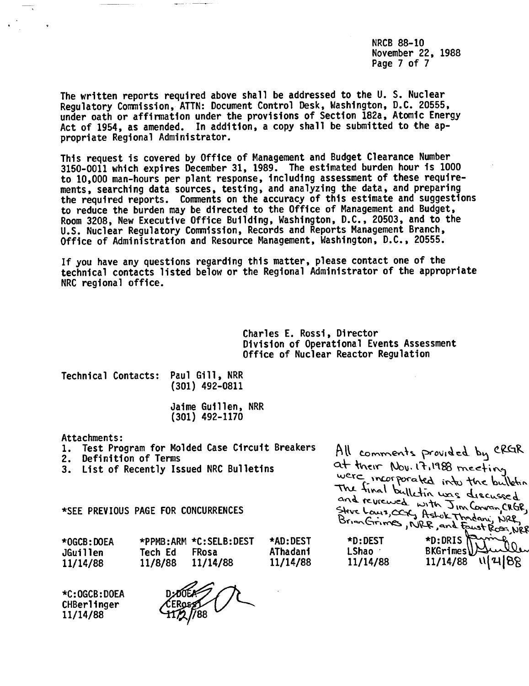NRCB 88-10 November 22, 1988 Page 7 of 7

The written reports required above shall be addressed to the U. S. Nuclear Regulatory Commission, ATTN: Document Control Desk, Washington, D.C. 20555, under oath or affirmation under the provisions of Section 182a, Atomic Energy Act of 1954, as amended. In addition, a copy shall be submitted to the appropriate Regional Administrator.

This request is covered by Office of Management and Budget Clearance Number 3150-0011 which expires December 31, 1989. The estimated burden hour is 1000 to 10,000 man-hours per plant response, including assessment of these requirements, searching data sources, testing, and analyzing the data, and preparing the required reports. Comments on the accuracy of this estimate and suggestions to reduce the burden may be directed to the Office of Management and Budget, Room 3208, New Executive Office Building, Washington, D.C., 20503, and to the U.S. Nuclear Regulatory Commission, Records and Reports Management Branch, Office of Administration and Resource Management, Washington, D.C., 20555.

If you have any questions regarding this matter, please contact one of the technical contacts listed below or the Regional Administrator of the appropriate NRC regional office.

> Charles E. Rossi, Director Division of Operational Events Assessment Office of Nuclear Reactor Regulation

Technical Contacts: Paul Gill, NRR (301) 492-0811

> Jaime Guillen, NRR (301) 492-1170

Attachments:

- 1. Test Program for Molded Case Circuit Breakers
- 2. Definition of Terms
- 3. List of Recently Issued NRC Bulletins

All comments provided by CRGR<br>at their Nov. 17,1988 meeting<br>were incorporated into the bulkin The final bulletin was discussed<br>and reviewed with a and reviewed with Jim Convan CRGR, Steve Louis, CCK, Astok Thodon, NRC<br>Steve Louis, CCK, Astok Thodon, NRC<br>Brian Grimes, NRC, and East Rose, NRC

\*SEE PREVIOUS PAGE FOR CONCURRENCES

| *OGCB:DOEA<br>JGuillen | *PPMB:ARM *C:SELB:DEST<br><b>FRosa</b><br>Tech Ed | <b>*AD:DEST</b><br>AThadani | *D:DEST<br>LShao | *D:DRIS<br>BKGrimes Audi<br>11/14/88 11/4   88 |
|------------------------|---------------------------------------------------|-----------------------------|------------------|------------------------------------------------|
| 11/14/88               | 11/8/88 11/14/88                                  | 11/14/88                    | 11/14/88         |                                                |

\*C:OGCB:DOEA CHBerlinger 11/14/88